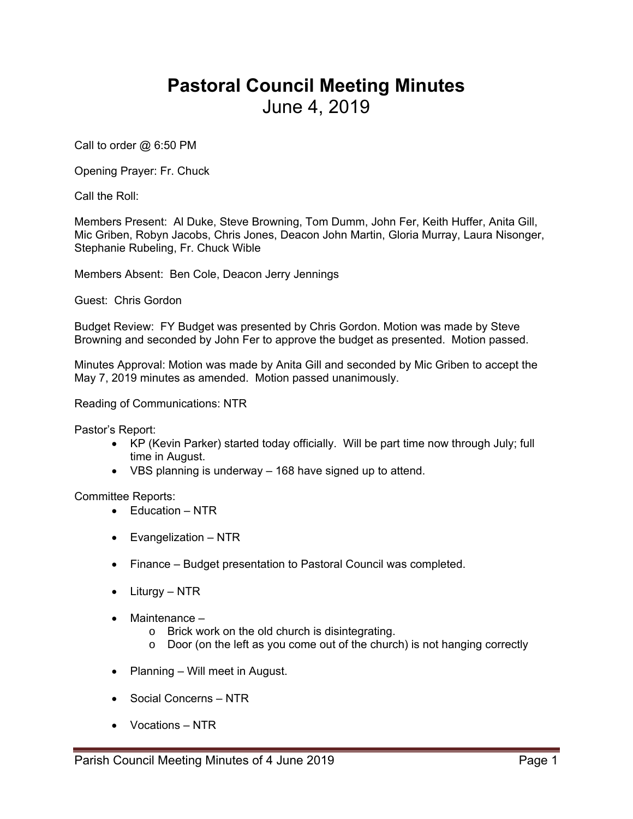## **Pastoral Council Meeting Minutes**  June 4, 2019

Call to order @ 6:50 PM

Opening Prayer: Fr. Chuck

Call the Roll:

Members Present: Al Duke, Steve Browning, Tom Dumm, John Fer, Keith Huffer, Anita Gill, Mic Griben, Robyn Jacobs, Chris Jones, Deacon John Martin, Gloria Murray, Laura Nisonger, Stephanie Rubeling, Fr. Chuck Wible

Members Absent: Ben Cole, Deacon Jerry Jennings

Guest: Chris Gordon

Budget Review: FY Budget was presented by Chris Gordon. Motion was made by Steve Browning and seconded by John Fer to approve the budget as presented. Motion passed.

Minutes Approval: Motion was made by Anita Gill and seconded by Mic Griben to accept the May 7, 2019 minutes as amended. Motion passed unanimously.

Reading of Communications: NTR

Pastor's Report:

- KP (Kevin Parker) started today officially. Will be part time now through July; full time in August.
- VBS planning is underway 168 have signed up to attend.

Committee Reports:

- $\bullet$  Education NTR
- Evangelization NTR
- Finance Budget presentation to Pastoral Council was completed.
- Liturgy NTR
- $\bullet$  Maintenance  $$ 
	- o Brick work on the old church is disintegrating.
	- o Door (on the left as you come out of the church) is not hanging correctly
- Planning Will meet in August.
- Social Concerns NTR
- Vocations NTR